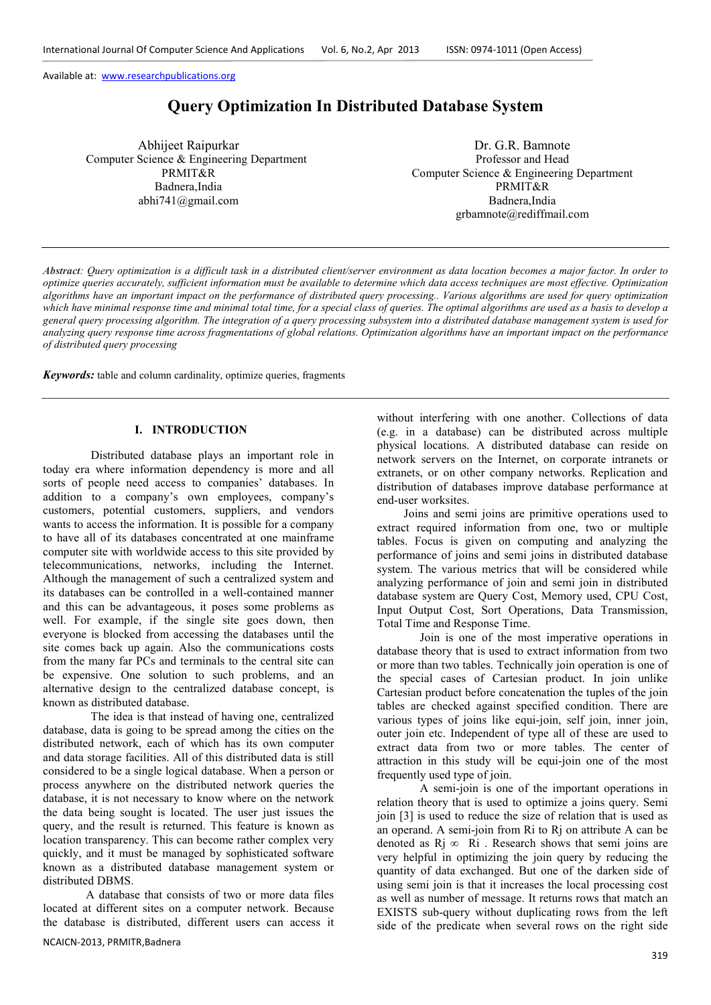# **Query Optimization In Distributed Database System**

Abhijeet Raipurkar Computer Science & Engineering Department PRMIT&R Badnera,India abhi741@gmail.com

Dr. G.R. Bamnote Professor and Head Computer Science & Engineering Department PRMIT&R Badnera,India grbamnote@rediffmail.com

*Abstract: Query optimization is a difficult task in a distributed client/server environment as data location becomes a major factor. In order to optimize queries accurately, sufficient information must be available to determine which data access techniques are most effective. Optimization algorithms have an important impact on the performance of distributed query processing.. Various algorithms are used for query optimization which have minimal response time and minimal total time, for a special class of queries. The optimal algorithms are used as a basis to develop a general query processing algorithm. The integration of a query processing subsystem into a distributed database management system is used for analyzing query response time across fragmentations of global relations. Optimization algorithms have an important impact on the performance of distributed query processing* 

*Keywords:* table and column cardinality, optimize queries, fragments

# **I. INTRODUCTION**

 Distributed database plays an important role in today era where information dependency is more and all sorts of people need access to companies' databases. In addition to a company's own employees, company's customers, potential customers, suppliers, and vendors wants to access the information. It is possible for a company to have all of its databases concentrated at one mainframe computer site with worldwide access to this site provided by telecommunications, networks, including the Internet. Although the management of such a centralized system and its databases can be controlled in a well-contained manner and this can be advantageous, it poses some problems as well. For example, if the single site goes down, then everyone is blocked from accessing the databases until the site comes back up again. Also the communications costs from the many far PCs and terminals to the central site can be expensive. One solution to such problems, and an alternative design to the centralized database concept, is known as distributed database.

 The idea is that instead of having one, centralized database, data is going to be spread among the cities on the distributed network, each of which has its own computer and data storage facilities. All of this distributed data is still considered to be a single logical database. When a person or process anywhere on the distributed network queries the database, it is not necessary to know where on the network the data being sought is located. The user just issues the query, and the result is returned. This feature is known as location transparency. This can become rather complex very quickly, and it must be managed by sophisticated software known as a distributed database management system or distributed DBMS.

A database that consists of two or more data files located at different sites on a computer network. Because the database is distributed, different users can access it without interfering with one another. Collections of data (e.g. in a database) can be distributed across multiple physical locations. A distributed database can reside on network servers on the Internet, on corporate intranets or extranets, or on other company networks. Replication and distribution of databases improve database performance at end-user worksites.

Joins and semi joins are primitive operations used to extract required information from one, two or multiple tables. Focus is given on computing and analyzing the performance of joins and semi joins in distributed database system. The various metrics that will be considered while analyzing performance of join and semi join in distributed database system are Query Cost, Memory used, CPU Cost, Input Output Cost, Sort Operations, Data Transmission, Total Time and Response Time.

Join is one of the most imperative operations in database theory that is used to extract information from two or more than two tables. Technically join operation is one of the special cases of Cartesian product. In join unlike Cartesian product before concatenation the tuples of the join tables are checked against specified condition. There are various types of joins like equi-join, self join, inner join, outer join etc. Independent of type all of these are used to extract data from two or more tables. The center of attraction in this study will be equi-join one of the most frequently used type of join.

A semi-join is one of the important operations in relation theory that is used to optimize a joins query. Semi join [3] is used to reduce the size of relation that is used as an operand. A semi-join from Ri to Rj on attribute A can be denoted as  $\overline{R}$   $\overline{Q}$   $\overline{R}$  . Research shows that semi joins are very helpful in optimizing the join query by reducing the quantity of data exchanged. But one of the darken side of using semi join is that it increases the local processing cost as well as number of message. It returns rows that match an EXISTS sub-query without duplicating rows from the left side of the predicate when several rows on the right side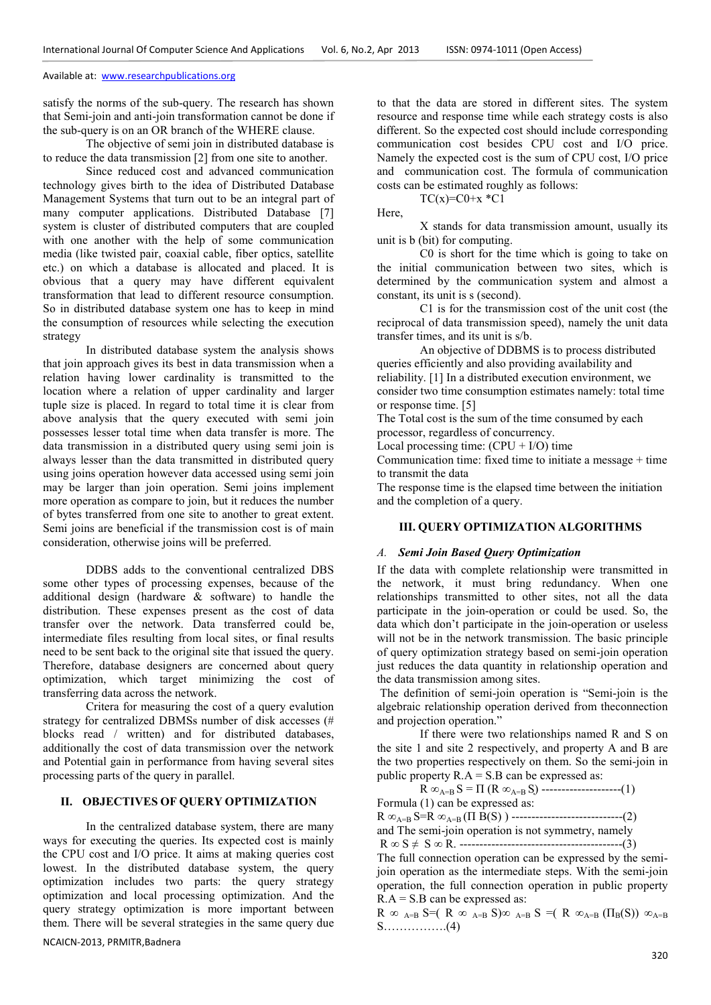satisfy the norms of the sub-query. The research has shown that Semi-join and anti-join transformation cannot be done if the sub-query is on an OR branch of the WHERE clause.

The objective of semi join in distributed database is to reduce the data transmission [2] from one site to another.

Since reduced cost and advanced communication technology gives birth to the idea of Distributed Database Management Systems that turn out to be an integral part of many computer applications. Distributed Database [7] system is cluster of distributed computers that are coupled with one another with the help of some communication media (like twisted pair, coaxial cable, fiber optics, satellite etc.) on which a database is allocated and placed. It is obvious that a query may have different equivalent transformation that lead to different resource consumption. So in distributed database system one has to keep in mind the consumption of resources while selecting the execution strategy

In distributed database system the analysis shows that join approach gives its best in data transmission when a relation having lower cardinality is transmitted to the location where a relation of upper cardinality and larger tuple size is placed. In regard to total time it is clear from above analysis that the query executed with semi join possesses lesser total time when data transfer is more. The data transmission in a distributed query using semi join is always lesser than the data transmitted in distributed query using joins operation however data accessed using semi join may be larger than join operation. Semi joins implement more operation as compare to join, but it reduces the number of bytes transferred from one site to another to great extent. Semi joins are beneficial if the transmission cost is of main consideration, otherwise joins will be preferred.

DDBS adds to the conventional centralized DBS some other types of processing expenses, because of the additional design (hardware  $\&$  software) to handle the distribution. These expenses present as the cost of data transfer over the network. Data transferred could be, intermediate files resulting from local sites, or final results need to be sent back to the original site that issued the query. Therefore, database designers are concerned about query optimization, which target minimizing the cost of transferring data across the network.

Critera for measuring the cost of a query evalution strategy for centralized DBMSs number of disk accesses (# blocks read / written) and for distributed databases, additionally the cost of data transmission over the network and Potential gain in performance from having several sites processing parts of the query in parallel.

# **II. OBJECTIVES OF QUERY OPTIMIZATION**

In the centralized database system, there are many ways for executing the queries. Its expected cost is mainly the CPU cost and I/O price. It aims at making queries cost lowest. In the distributed database system, the query optimization includes two parts: the query strategy optimization and local processing optimization. And the query strategy optimization is more important between them. There will be several strategies in the same query due

NCAICN-2013, PRMITR,Badnera

to that the data are stored in different sites. The system resource and response time while each strategy costs is also different. So the expected cost should include corresponding communication cost besides CPU cost and I/O price. Namely the expected cost is the sum of CPU cost, I/O price and communication cost. The formula of communication costs can be estimated roughly as follows:

 $TC(x)=C0+x*C1$ 

Here,

 X stands for data transmission amount, usually its unit is b (bit) for computing.

C0 is short for the time which is going to take on the initial communication between two sites, which is determined by the communication system and almost a constant, its unit is s (second).

C1 is for the transmission cost of the unit cost (the reciprocal of data transmission speed), namely the unit data transfer times, and its unit is s/b.

An objective of DDBMS is to process distributed queries efficiently and also providing availability and reliability. [1] In a distributed execution environment, we consider two time consumption estimates namely: total time or response time. [5]

The Total cost is the sum of the time consumed by each processor, regardless of concurrency.

Local processing time:  $(CPU + I/O)$  time

Communication time: fixed time to initiate a message + time to transmit the data

The response time is the elapsed time between the initiation and the completion of a query.

# **III. QUERY OPTIMIZATION ALGORITHMS**

### *A. Semi Join Based Query Optimization*

If the data with complete relationship were transmitted in the network, it must bring redundancy. When one relationships transmitted to other sites, not all the data participate in the join-operation or could be used. So, the data which don't participate in the join-operation or useless will not be in the network transmission. The basic principle of query optimization strategy based on semi-join operation just reduces the data quantity in relationship operation and the data transmission among sites.

 The definition of semi-join operation is "Semi-join is the algebraic relationship operation derived from theconnection and projection operation."

If there were two relationships named R and S on the site 1 and site 2 respectively, and property A and B are the two properties respectively on them. So the semi-join in public property  $R.A = S.B$  can be expressed as:

 $R \infty_{A=B} S = \Pi (R \infty_{A=B} S)$  ---------------------(1) Formula (1) can be expressed as:

 $R \infty_{A=R} S=R \infty_{A=R} (\Pi B(S))$  ----------------------------(2) and The semi-join operation is not symmetry, namely R ∞ S ≠ S ∞ R. -----------------------------------------(3)

The full connection operation can be expressed by the semijoin operation as the intermediate steps. With the semi-join operation, the full connection operation in public property  $R.A = S.B$  can be expressed as:

 $R \propto A=BS = (R \propto A=BS) \propto A=BS = (R \propto A=BS) (II_B(S)) \propto A=BS$ S…………….(4)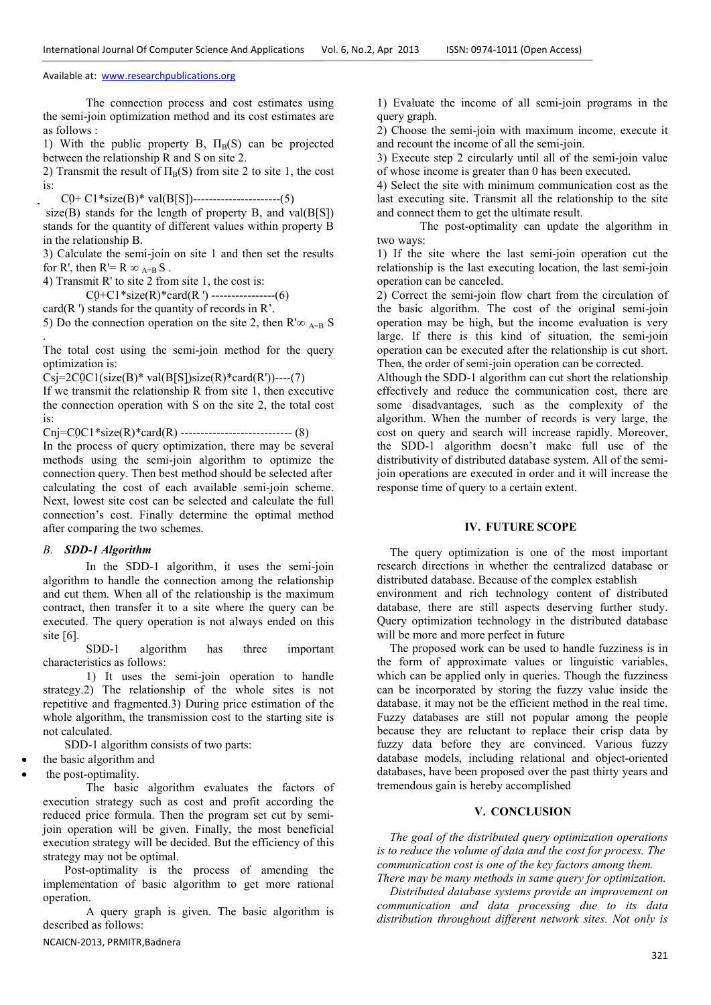The connection process and cost estimates using the semi-join optimization method and its cost estimates are as follows :

1) With the public property B,  $\Pi_B(S)$  can be projected between the relationship R and S on site 2.

2) Transmit the result of  $\Pi_B(S)$  from site 2 to site 1, the cost is:

 $C0+C1*size(B)*val(B[S])$ ----------------------(5)

size(B) stands for the length of property B, and  $val(B[S])$ stands for the quantity of different values within property B in the relationship B.

3) Calculate the semi-join on site 1 and then set the results for R', then  $R' = R \infty$   $_{A = B} S$ .

4) Transmit R' to site 2 from site 1, the cost is:

 $C0+C1*size(R)*card(R')$  ----------------(6)

card( $R'$ ) stands for the quantity of records in  $R'$ .

5) Do the connection operation on the site 2, then  $R' \infty$  A=B S .

The total cost using the semi-join method for the query optimization is:

 $Csj=2C0C1(size(B)*val(B[S])size(R)*card(R'))---(7)$ 

If we transmit the relationship R from site 1, then executive the connection operation with S on the site 2, the total cost is:

 $Cnj=COC1*size(R)*card(R)$  ------------------------------ (8)

In the process of query optimization, there may be several methods using the semi-join algorithm to optimize the connection query. Then best method should be selected after calculating the cost of each available semi-join scheme. Next, lowest site cost can be selected and calculate the full connection's cost. Finally determine the optimal method after comparing the two schemes.

#### *B. SDD-1 Algorithm*

In the SDD-1 algorithm, it uses the semi-join algorithm to handle the connection among the relationship and cut them. When all of the relationship is the maximum contract, then transfer it to a site where the query can be executed. The query operation is not always ended on this site [6].

SDD-1 algorithm has three important characteristics as follows:

1) It uses the semi-join operation to handle strategy.2) The relationship of the whole sites is not repetitive and fragmented.3) During price estimation of the whole algorithm, the transmission cost to the starting site is not calculated.

SDD-1 algorithm consists of two parts:

- the basic algorithm and
- the post-optimality.

 The basic algorithm evaluates the factors of execution strategy such as cost and profit according the reduced price formula. Then the program set cut by semijoin operation will be given. Finally, the most beneficial execution strategy will be decided. But the efficiency of this strategy may not be optimal.

Post-optimality is the process of amending the implementation of basic algorithm to get more rational operation.

A query graph is given. The basic algorithm is described as follows:

NCAICN-2013, PRMITR,Badnera

1) Evaluate the income of all semi-join programs in the query graph.

2) Choose the semi-join with maximum income, execute it and recount the income of all the semi-join.

3) Execute step 2 circularly until all of the semi-join value of whose income is greater than 0 has been executed.

4) Select the site with minimum communication cost as the last executing site. Transmit all the relationship to the site and connect them to get the ultimate result.

The post-optimality can update the algorithm in two ways:

1) If the site where the last semi-join operation cut the relationship is the last executing location, the last semi-join operation can be canceled.

2) Correct the semi-join flow chart from the circulation of the basic algorithm. The cost of the original semi-join operation may be high, but the income evaluation is very large. If there is this kind of situation, the semi-join operation can be executed after the relationship is cut short. Then, the order of semi-join operation can be corrected.

Although the SDD-1 algorithm can cut short the relationship effectively and reduce the communication cost, there are some disadvantages, such as the complexity of the algorithm. When the number of records is very large, the cost on query and search will increase rapidly. Moreover, the SDD-1 algorithm doesn't make full use of the distributivity of distributed database system. All of the semijoin operations are executed in order and it will increase the response time of query to a certain extent.

# **IV. FUTURE SCOPE**

The query optimization is one of the most important research directions in whether the centralized database or distributed database. Because of the complex establish environment and rich technology content of distributed database, there are still aspects deserving further study. Query optimization technology in the distributed database will be more and more perfect in future

The proposed work can be used to handle fuzziness is in the form of approximate values or linguistic variables, which can be applied only in queries. Though the fuzziness can be incorporated by storing the fuzzy value inside the database, it may not be the efficient method in the real time. Fuzzy databases are still not popular among the people because they are reluctant to replace their crisp data by fuzzy data before they are convinced. Various fuzzy database models, including relational and object-oriented databases, have been proposed over the past thirty years and tremendous gain is hereby accomplished

# **V. CONCLUSION**

*The goal of the distributed query optimization operations is to reduce the volume of data and the cost for process. The communication cost is one of the key factors among them. There may be many methods in same query for optimization.* 

*Distributed database systems provide an improvement on communication and data processing due to its data distribution throughout different network sites. Not only is*